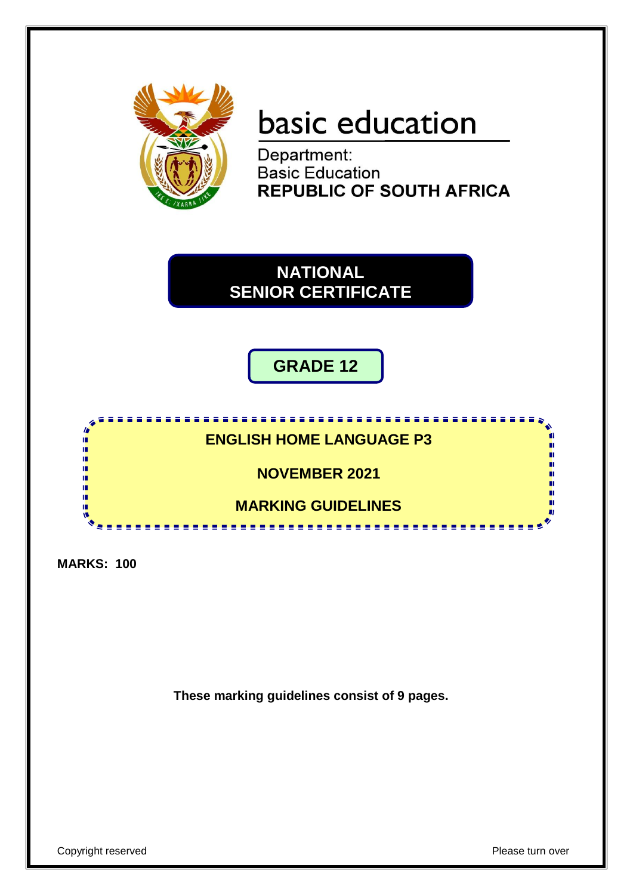

# basic education

Department: **Basic Education<br>REPUBLIC OF SOUTH AFRICA** 

**NATIONAL SENIOR CERTIFICATE**

**GRADE 12**

**ENGLISH HOME LANGUAGE P3**

<u>,,,,,,,,,,,,,,,,,,,,</u>,

**NOVEMBER 2021**

**MARKING GUIDELINES**

. . . . . . . . . . . . . . . . .

**MARKS: 100**

۱Ē IÌ, 庫

IÙ, ΙÚ, ıń. ıń. IÌ,

**These marking guidelines consist of 9 pages.**

пı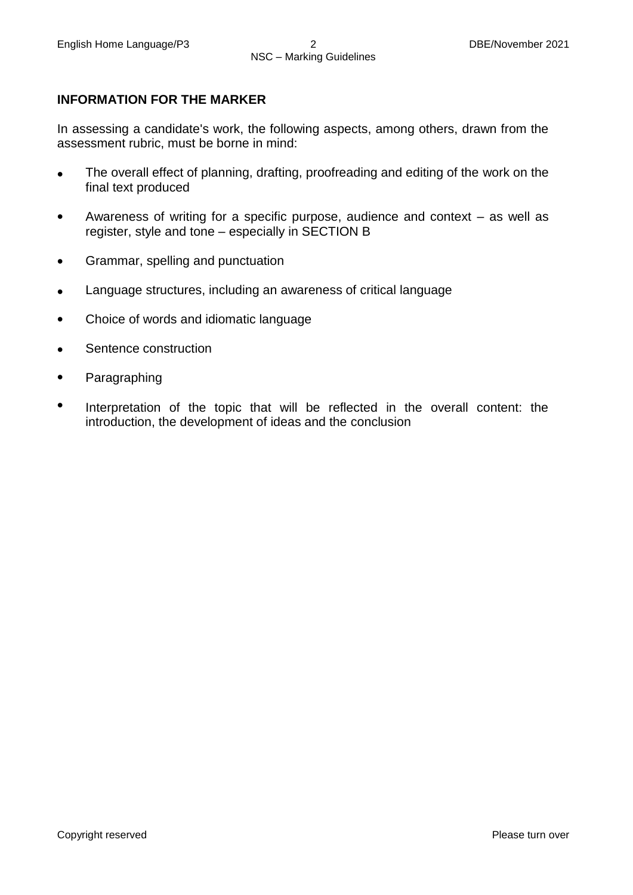### **INFORMATION FOR THE MARKER**

In assessing a candidate's work, the following aspects, among others, drawn from the assessment rubric, must be borne in mind:

- $\bullet$ The overall effect of planning, drafting, proofreading and editing of the work on the final text produced
- $\bullet$ Awareness of writing for a specific purpose, audience and context – as well as register, style and tone – especially in SECTION B
- $\bullet$ Grammar, spelling and punctuation
- $\bullet$ Language structures, including an awareness of critical language
- $\bullet$ Choice of words and idiomatic language
- $\bullet$ Sentence construction
- $\bullet$ Paragraphing
- $\bullet$ Interpretation of the topic that will be reflected in the overall content: the introduction, the development of ideas and the conclusion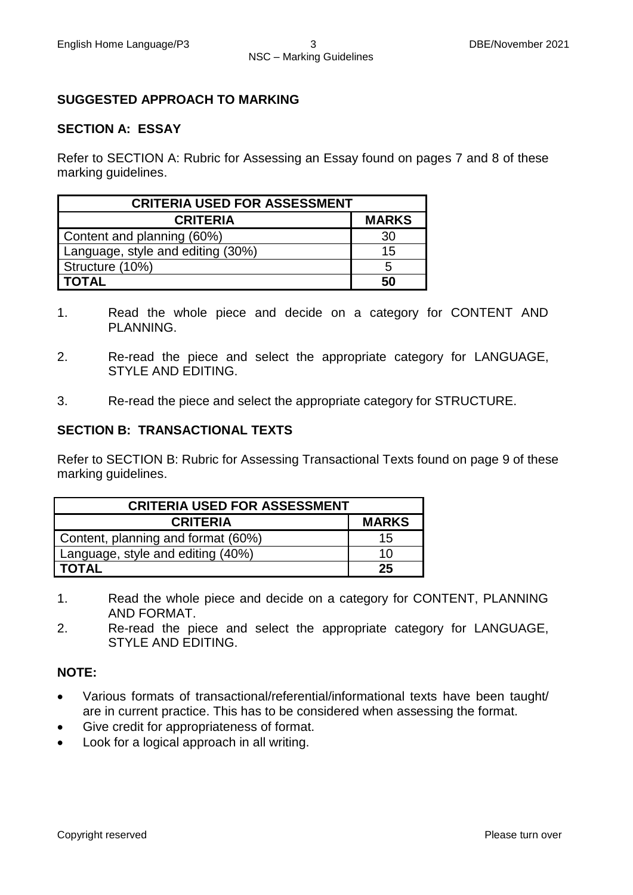### **SUGGESTED APPROACH TO MARKING**

#### **SECTION A: ESSAY**

Refer to SECTION A: Rubric for Assessing an Essay found on pages 7 and 8 of these marking guidelines.

| <b>CRITERIA USED FOR ASSESSMENT</b> |              |
|-------------------------------------|--------------|
| <b>CRITERIA</b>                     | <b>MARKS</b> |
| Content and planning (60%)          | 30           |
| Language, style and editing (30%)   | 15           |
| Structure (10%)                     | .5           |
| <b>TOTAL</b>                        | 50           |

- 1. Read the whole piece and decide on a category for CONTENT AND PLANNING.
- 2. Re-read the piece and select the appropriate category for LANGUAGE, STYLE AND EDITING.
- 3. Re-read the piece and select the appropriate category for STRUCTURE.

#### **SECTION B: TRANSACTIONAL TEXTS**

Refer to SECTION B: Rubric for Assessing Transactional Texts found on page 9 of these marking guidelines.

| <b>CRITERIA USED FOR ASSESSMENT</b> |              |
|-------------------------------------|--------------|
| <b>CRITERIA</b>                     | <b>MARKS</b> |
| Content, planning and format (60%)  | 15           |
| Language, style and editing (40%)   | 10           |
| <b>TOTAL</b>                        | 25           |

- 1. Read the whole piece and decide on a category for CONTENT, PLANNING AND FORMAT.
- 2. Re-read the piece and select the appropriate category for LANGUAGE, STYLE AND EDITING.

#### **NOTE:**

- Various formats of transactional/referential/informational texts have been taught/ are in current practice. This has to be considered when assessing the format.
- Give credit for appropriateness of format.
- Look for a logical approach in all writing.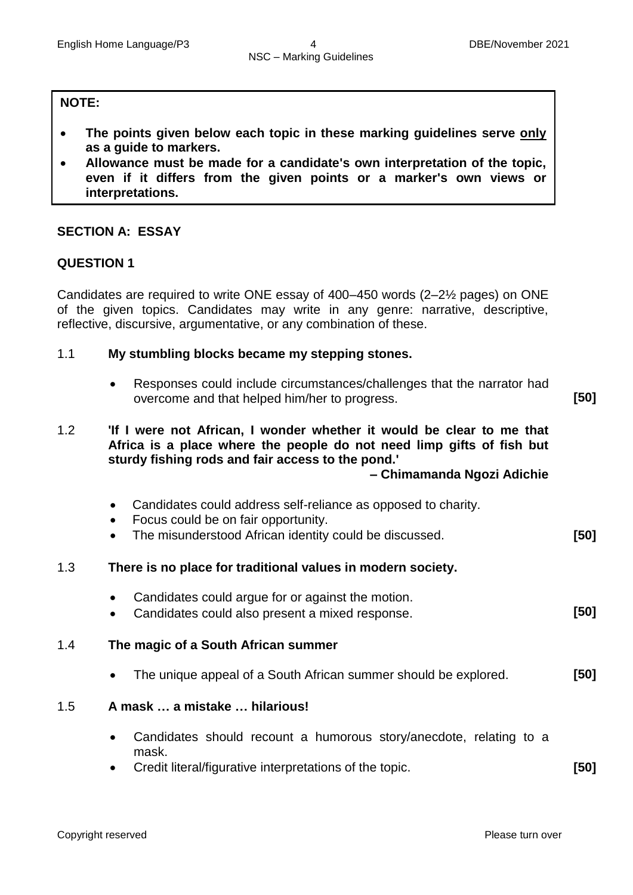#### **NOTE:**

- **The points given below each topic in these marking guidelines serve only as a guide to markers.**
- **Allowance must be made for a candidate's own interpretation of the topic, even if it differs from the given points or a marker's own views or interpretations.**

## **SECTION A: ESSAY**

#### **QUESTION 1**

Candidates are required to write ONE essay of 400–450 words (2–2½ pages) on ONE of the given topics. Candidates may write in any genre: narrative, descriptive, reflective, discursive, argumentative, or any combination of these.

#### 1.1 **My stumbling blocks became my stepping stones.**

 Responses could include circumstances/challenges that the narrator had overcome and that helped him/her to progress. **[50]**

1.2 **'If I were not African, I wonder whether it would be clear to me that Africa is a place where the people do not need limp gifts of fish but sturdy fishing rods and fair access to the pond.' – Chimamanda Ngozi Adichie**

- Candidates could address self-reliance as opposed to charity.
- Focus could be on fair opportunity.
- The misunderstood African identity could be discussed. **[50]**

#### 1.3 **There is no place for traditional values in modern society.**

- Candidates could argue for or against the motion.
- Candidates could also present a mixed response. **[50]**

#### 1.4 **The magic of a South African summer**

The unique appeal of a South African summer should be explored. **[50]**

#### 1.5 **A mask … a mistake … hilarious!**

- Candidates should recount a humorous story/anecdote, relating to a mask.
- Credit literal/figurative interpretations of the topic. **[50]**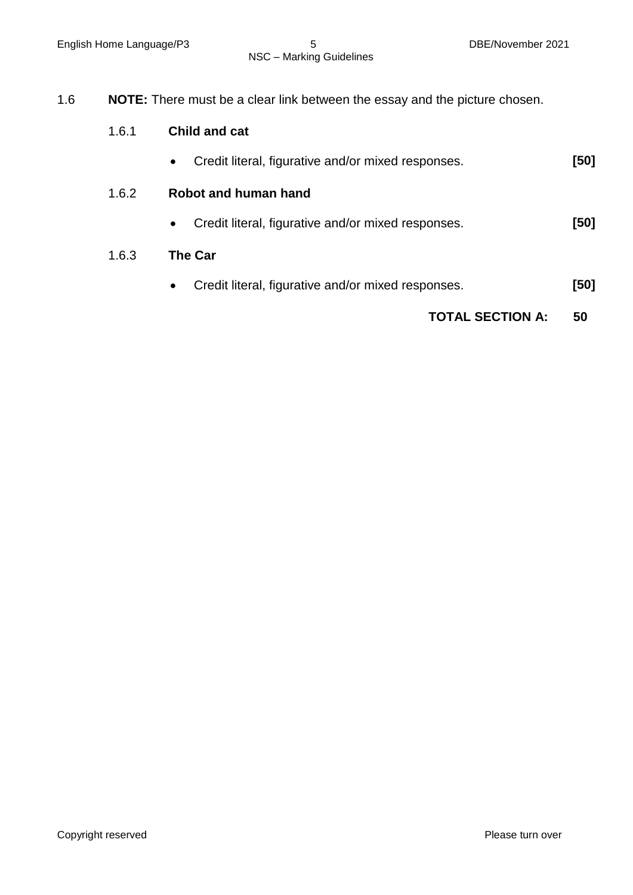| 1.6 | <b>NOTE:</b> There must be a clear link between the essay and the picture chosen. |
|-----|-----------------------------------------------------------------------------------|
|-----|-----------------------------------------------------------------------------------|

|       | <b>TOTAL SECTION A:</b>                                         | 50   |  |  |  |  |
|-------|-----------------------------------------------------------------|------|--|--|--|--|
|       | Credit literal, figurative and/or mixed responses.<br>$\bullet$ | [50] |  |  |  |  |
| 1.6.3 | <b>The Car</b>                                                  |      |  |  |  |  |
|       | Credit literal, figurative and/or mixed responses.<br>$\bullet$ | [50] |  |  |  |  |
| 1.6.2 | Robot and human hand                                            |      |  |  |  |  |
|       | Credit literal, figurative and/or mixed responses.<br>$\bullet$ | [50] |  |  |  |  |
| 1.6.1 | <b>Child and cat</b>                                            |      |  |  |  |  |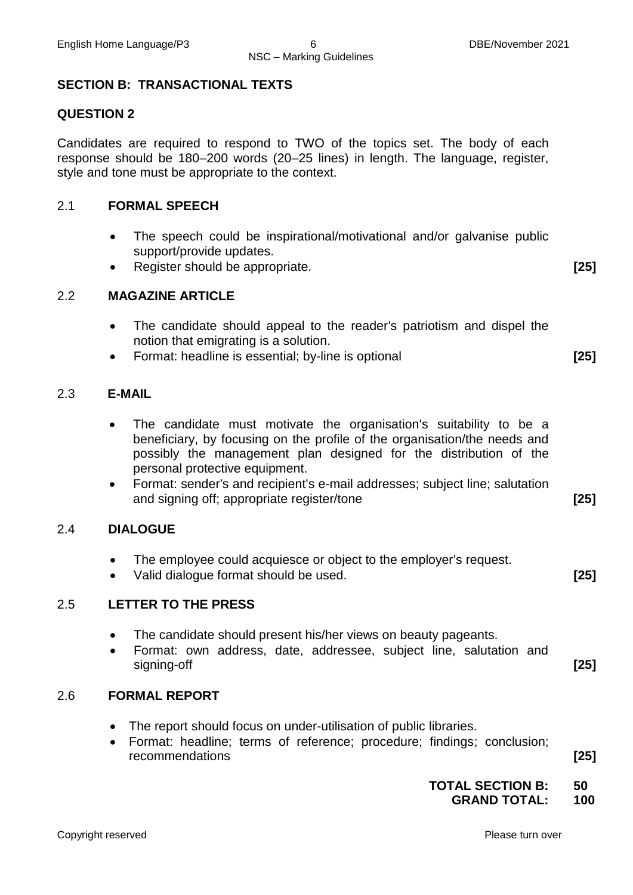#### NSC – Marking Guidelines

#### **SECTION B: TRANSACTIONAL TEXTS**

#### **QUESTION 2**

Candidates are required to respond to TWO of the topics set. The body of each response should be 180–200 words (20–25 lines) in length. The language, register, style and tone must be appropriate to the context.

#### 2.1 **FORMAL SPEECH**

- The speech could be inspirational/motivational and/or galvanise public support/provide updates.
- Register should be appropriate. **[25]**

#### 2.2 **MAGAZINE ARTICLE**

- The candidate should appeal to the reader's patriotism and dispel the notion that emigrating is a solution.
- Format: headline is essential; by-line is optional **[25]**

#### 2.3 **E-MAIL**

- The candidate must motivate the organisation's suitability to be a beneficiary, by focusing on the profile of the organisation/the needs and possibly the management plan designed for the distribution of the personal protective equipment.
- Format: sender's and recipient's e-mail addresses; subject line; salutation and signing off; appropriate register/tone **[25]**

#### 2.4 **DIALOGUE**

- The employee could acquiesce or object to the employer's request.
- Valid dialogue format should be used. **[25]**

#### 2.5 **LETTER TO THE PRESS**

- The candidate should present his/her views on beauty pageants.
- Format: own address, date, addressee, subject line, salutation and signing-off **[25]**

#### 2.6 **FORMAL REPORT**

- The report should focus on under-utilisation of public libraries.
- Format: headline; terms of reference; procedure; findings; conclusion; recommendations **[25]**

#### **TOTAL SECTION B: 50 GRAND TOTAL: 100**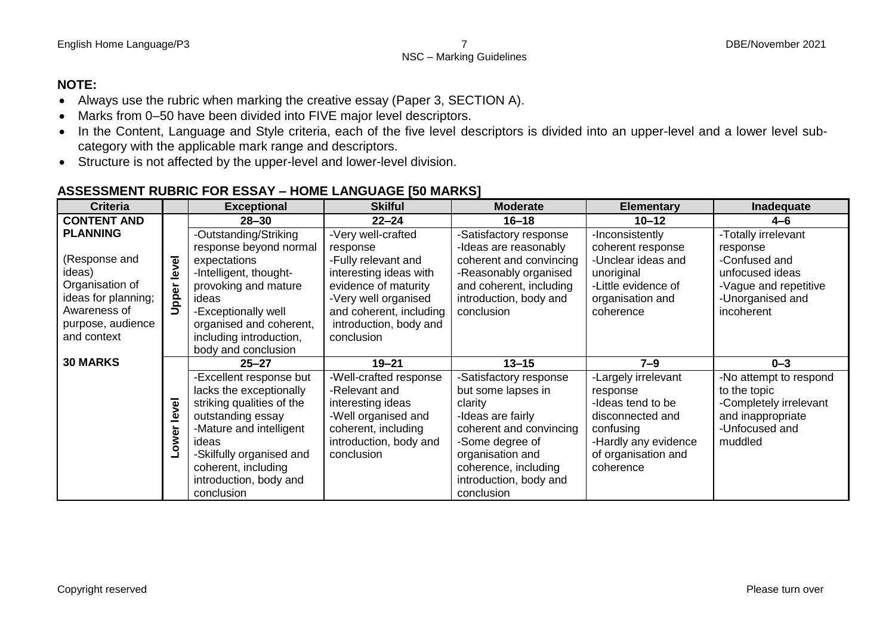#### **NOTE:**

- Always use the rubric when marking the creative essay (Paper 3, SECTION A).
- Marks from 0–50 have been divided into FIVE major level descriptors.
- In the Content, Language and Style criteria, each of the five level descriptors is divided into an upper-level and a lower level subcategory with the applicable mark range and descriptors.
- Structure is not affected by the upper-level and lower-level division.

## **ASSESSMENT RUBRIC FOR ESSAY – HOME LANGUAGE [50 MARKS]**

| <b>Criteria</b>     |       | <b>Exceptional</b>        | <b>Skilful</b>          | <b>Moderate</b>         | <b>Elementary</b>    | Inadequate             |
|---------------------|-------|---------------------------|-------------------------|-------------------------|----------------------|------------------------|
| <b>CONTENT AND</b>  |       | $28 - 30$                 | $22 - 24$               | $16 - 18$               | $10 - 12$            | 4–6                    |
| <b>PLANNING</b>     |       | -Outstanding/Striking     | -Very well-crafted      | -Satisfactory response  | -Inconsistently      | -Totally irrelevant    |
|                     |       | response beyond normal    | response                | -Ideas are reasonably   | coherent response    | response               |
| (Response and       | level | expectations              | -Fully relevant and     | coherent and convincing | -Unclear ideas and   | -Confused and          |
| ideas)              |       | -Intelligent, thought-    | interesting ideas with  | -Reasonably organised   | unoriginal           | unfocused ideas        |
| Organisation of     |       | provoking and mature      | evidence of maturity    | and coherent, including | -Little evidence of  | -Vague and repetitive  |
| ideas for planning; | Upper | ideas                     | -Very well organised    | introduction, body and  | organisation and     | -Unorganised and       |
| Awareness of        |       | -Exceptionally well       | and coherent, including | conclusion              | coherence            | incoherent             |
| purpose, audience   |       | organised and coherent,   | introduction, body and  |                         |                      |                        |
| and context         |       | including introduction,   | conclusion              |                         |                      |                        |
|                     |       | body and conclusion       |                         |                         |                      |                        |
| <b>30 MARKS</b>     |       | $25 - 27$                 | $19 - 21$               | $13 - 15$               | $7 - 9$              | $0 - 3$                |
|                     |       | -Excellent response but   | -Well-crafted response  | -Satisfactory response  | -Largely irrelevant  | -No attempt to respond |
|                     |       | lacks the exceptionally   | -Relevant and           | but some lapses in      | response             | to the topic           |
|                     | level | striking qualities of the | interesting ideas       | clarity                 | -Ideas tend to be    | -Completely irrelevant |
|                     |       | outstanding essay         | -Well organised and     | -Ideas are fairly       | disconnected and     | and inappropriate      |
|                     |       | -Mature and intelligent   | coherent, including     | coherent and convincing | confusing            | -Unfocused and         |
|                     | ower  | ideas                     | introduction, body and  | -Some degree of         | -Hardly any evidence | muddled                |
|                     |       | -Skilfully organised and  | conclusion              | organisation and        | of organisation and  |                        |
|                     |       | coherent, including       |                         | coherence, including    | coherence            |                        |
|                     |       | introduction, body and    |                         | introduction, body and  |                      |                        |
|                     |       | conclusion                |                         | conclusion              |                      |                        |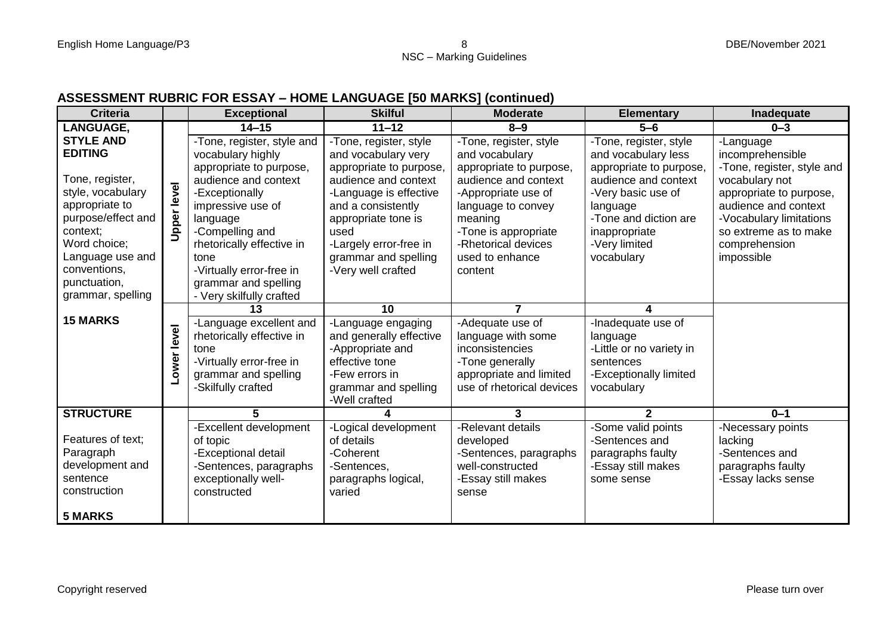## **ASSESSMENT RUBRIC FOR ESSAY – HOME LANGUAGE [50 MARKS] (continued)**

| <b>Criteria</b>    |             | <b>Exceptional</b>         | <b>Skilful</b>          | <b>Moderate</b>           | <b>Elementary</b>        | Inadequate                 |
|--------------------|-------------|----------------------------|-------------------------|---------------------------|--------------------------|----------------------------|
| <b>LANGUAGE,</b>   |             | $14 - 15$                  | $11 - 12$               | $8 - 9$                   | $5 - 6$                  | $0 - 3$                    |
| <b>STYLE AND</b>   |             | -Tone, register, style and | -Tone, register, style  | -Tone, register, style    | -Tone, register, style   | -Language                  |
| <b>EDITING</b>     |             | vocabulary highly          | and vocabulary very     | and vocabulary            | and vocabulary less      | incomprehensible           |
|                    |             | appropriate to purpose,    | appropriate to purpose, | appropriate to purpose,   | appropriate to purpose,  | -Tone, register, style and |
| Tone, register,    |             | audience and context       | audience and context    | audience and context      | audience and context     | vocabulary not             |
| style, vocabulary  |             | -Exceptionally             | -Language is effective  | -Appropriate use of       | -Very basic use of       | appropriate to purpose,    |
| appropriate to     |             | impressive use of          | and a consistently      | language to convey        | language                 | audience and context       |
| purpose/effect and | Upper level | language                   | appropriate tone is     | meaning                   | -Tone and diction are    | -Vocabulary limitations    |
| context;           |             | -Compelling and            | used                    | -Tone is appropriate      | inappropriate            | so extreme as to make      |
| Word choice;       |             | rhetorically effective in  | -Largely error-free in  | -Rhetorical devices       | -Very limited            | comprehension              |
| Language use and   |             | tone                       | grammar and spelling    | used to enhance           | vocabulary               | impossible                 |
| conventions,       |             | -Virtually error-free in   | -Very well crafted      | content                   |                          |                            |
| punctuation,       |             | grammar and spelling       |                         |                           |                          |                            |
| grammar, spelling  |             | - Very skilfully crafted   |                         |                           |                          |                            |
|                    |             | 13                         | 10                      | 7                         |                          |                            |
| <b>15 MARKS</b>    |             | -Language excellent and    | -Language engaging      | -Adequate use of          | -Inadequate use of       |                            |
|                    |             | rhetorically effective in  | and generally effective | language with some        | language                 |                            |
|                    | Lower level | tone                       | -Appropriate and        | inconsistencies           | -Little or no variety in |                            |
|                    |             | -Virtually error-free in   | effective tone          | -Tone generally           | sentences                |                            |
|                    |             | grammar and spelling       | -Few errors in          | appropriate and limited   | -Exceptionally limited   |                            |
|                    |             | -Skilfully crafted         | grammar and spelling    | use of rhetorical devices | vocabulary               |                            |
|                    |             |                            | -Well crafted           |                           |                          |                            |
| <b>STRUCTURE</b>   |             | 5.                         | 4                       | 3                         | $\mathbf{2}$             | $0 - 1$                    |
|                    |             | -Excellent development     | -Logical development    | -Relevant details         | -Some valid points       | -Necessary points          |
| Features of text:  |             | of topic                   | of details              | developed                 | -Sentences and           | lacking                    |
| Paragraph          |             | -Exceptional detail        | -Coherent               | -Sentences, paragraphs    | paragraphs faulty        | -Sentences and             |
| development and    |             | -Sentences, paragraphs     | -Sentences,             | well-constructed          | -Essay still makes       | paragraphs faulty          |
| sentence           |             | exceptionally well-        | paragraphs logical,     | -Essay still makes        | some sense               | -Essay lacks sense         |
| construction       |             | constructed                | varied                  | sense                     |                          |                            |
|                    |             |                            |                         |                           |                          |                            |
| <b>5 MARKS</b>     |             |                            |                         |                           |                          |                            |